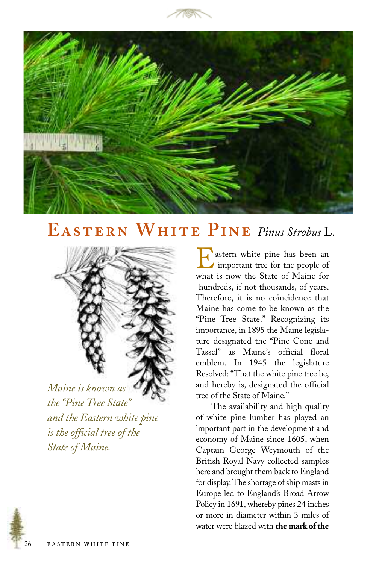



## EASTERN WHITE PINE Pinus Strobus L.



*Maine is known as the "Pine Tree State" and the Eastern white pine is the official tree of the State of Maine.*

astern white pine has been an important tree for the people of what is now the State of Maine for hundreds, if not thousands, of years. Therefore, it is no coincidence that Maine has come to be known as the "Pine Tree State." Recognizing its importance, in 1895 the Maine legislature designated the "Pine Cone and Tassel" as Maine's official floral emblem. In 1945 the legislature Resolved: "That the white pine tree be, and hereby is, designated the official tree of the State of Maine."

The availability and high quality of white pine lumber has played an important part in the development and economy of Maine since 1605, when Captain George Weymouth of the British Royal Navy collected samples here and brought them back to England for display.The shortage of ship masts in Europe led to England's Broad Arrow Policy in 1691, whereby pines 24 inches or more in diameter within 3 miles of water were blazed with **the mark of the**

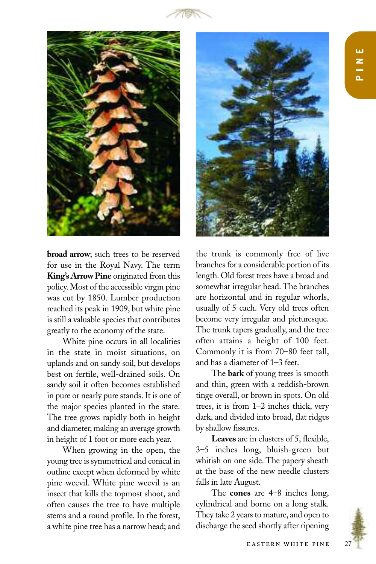



**broad arrow**; such trees to be reserved for use in the Royal Navy. The term **King's Arrow Pine** originated from this policy. Most of the accessible virgin pine was cut by 1850. Lumber production reached its peak in 1909, but white pine is still a valuable species that contributes greatly to the economy of the state.

White pine occurs in all localities in the state in moist situations, on uplands and on sandy soil, but develops best on fertile, well-drained soils. On sandy soil it often becomes established in pure or nearly pure stands. It is one of the major species planted in the state. The tree grows rapidly both in height and diameter, making an average growth in height of 1 foot or more each year.

When growing in the open, the young tree is symmetrical and conical in outline except when deformed by white pine weevil. White pine weevil is an insect that kills the topmost shoot, and often causes the tree to have multiple stems and a round profile. In the forest, a white pine tree has a narrow head; and



the trunk is commonly free of live branches for a considerable portion of its length. Old forest trees have a broad and somewhat irregular head. The branches are horizontal and in regular whorls, usually of 5 each. Very old trees often become very irregular and picturesque. The trunk tapers gradually, and the tree often attains a height of 100 feet. Commonly it is from 70–80 feet tall, and has a diameter of 1–3 feet.

The **bark** of young trees is smooth and thin, green with a reddish-brown tinge overall, or brown in spots. On old trees, it is from 1–2 inches thick, very dark, and divided into broad, flat ridges by shallow fissures.

**Leaves** are in clusters of 5, flexible, 3–5 inches long, bluish-green but whitish on one side. The papery sheath at the base of the new needle clusters falls in late August.

The **cones** are 4–8 inches long, cylindrical and borne on a long stalk. They take 2 years to mature, and open to discharge the seed shortly after ripening